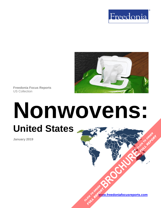



**Freedonia Focus Reports** US Collection

# **Nonwovens: United States [BROCHURE](https://www.freedoniafocusreports.com/Nonwovens-United-States-FF15018/?progid=89541) CLICK TO ORDER**

**January 2019**

**[www.freedoniafocusreports.com](https://www.freedoniafocusreports.com/redirect.asp?progid=89534&url=/)** CLICK TO ORDER **FULL REPORT** 

**FULL REPORT**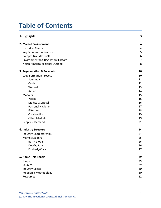# **Table of Contents**

| 1. Highlights                                 | 3              |
|-----------------------------------------------|----------------|
| 2. Market Environment                         | 4              |
| <b>Historical Trends</b>                      | 4              |
| Key Economic Indicators                       | 5              |
| <b>Competitive Materials</b>                  | 6              |
| <b>Environmental &amp; Regulatory Factors</b> | $\overline{7}$ |
| North America Regional Outlook                | 8              |
| 3. Segmentation & Forecasts                   | 10             |
| <b>Web Formation Process</b>                  | 10             |
| Spunmelt                                      | 11             |
| Carded                                        | 12             |
| Wetlaid                                       | 13             |
| Airlaid                                       | 14             |
| Markets                                       | 15             |
| Wipes                                         | 16             |
| Medical/Surgical                              | 16             |
| Personal Hygiene                              | 17             |
| Filtration                                    | 18             |
| Construction                                  | 19             |
| <b>Other Markets</b>                          | 19             |
| Supply & Demand                               | 21             |
| 4. Industry Structure                         | 24             |
| <b>Industry Characteristics</b>               | 24             |
| <b>Market Leaders</b>                         | 25             |
| <b>Berry Global</b>                           | 26             |
| DowDuPont                                     | 26             |
| Kimberly-Clark                                | 27             |
| 5. About This Report                          | 29             |
| Scope                                         | 29             |
| Sources                                       | 29             |
| <b>Industry Codes</b>                         | 30             |
| Freedonia Methodology                         | 30             |
| Resources                                     | 32             |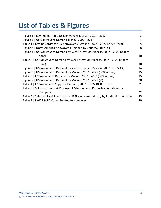# **List of Tables & Figures**

| Figure 1   Key Trends in the US Nonwovens Market, 2017 - 2022                       | 3  |
|-------------------------------------------------------------------------------------|----|
| Figure 2   US Nonwovens Demand Trends, 2007 - 2017                                  | 4  |
| Table 1   Key Indicators for US Nonwovens Demand, 2007 - 2022 (2009US\$ bil)        | 5  |
| Figure 3   North America Nonwovens Demand by Country, 2017 (%)                      | 8  |
| Figure 4   US Nonwovens Demand by Web Formation Process, 2007 - 2022 (000 m         |    |
| tons)                                                                               | 10 |
| Table 2   US Nonwovens Demand by Web Formation Process, 2007 - 2022 (000 m          |    |
| tons)                                                                               | 10 |
| Figure 5   US Nonwovens Demand by Web Formation Process, 2007 - 2022 (%)            | 14 |
| Figure 6   US Nonwovens Demand by Market, 2007 - 2022 (000 m tons)                  | 15 |
| Table 3   US Nonwovens Demand by Market, 2007 - 2022 (000 m tons)                   | 15 |
| Figure 7   US Nonwovens Demand by Market, 2007 - 2022 (%)                           | 20 |
| Table 4   US Nonwovens Supply & Demand, $2007 - 2022$ (000 m tons)                  | 21 |
| Table 5   Selected Recent & Proposed US Nonwovens Production Additions by           |    |
| Company                                                                             | 22 |
| Table 6   Selected Participants in the US Nonwovens Industry by Production Location | 25 |
| Table 7   NAICS & SIC Codes Related to Nonwovens                                    | 30 |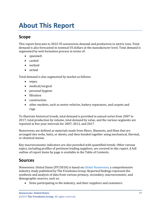# <span id="page-3-0"></span>**About This Report**

# <span id="page-3-1"></span>**Scope**

This report forecasts to 2022 US nonwovens demand and production in metric tons. Total demand is also forecasted in nominal US dollars at the manufacturer level. Total demand is segmented by web formation process in terms of:

- spunmelt
- carded
- wetlaid
- airlaid

Total demand is also segmented by market as follows:

- wipes
- medical/surgical
- personal hygiene
- filtration
- construction
- other markets, such as motor vehicles, battery separators, and carpets and rugs

To illustrate historical trends, total demand is provided in annual series from 2007 to 2017; total production by volume, total demand by value, and the various segments are reported at five-year intervals for 2007, 2012, and 2017.

Nonwovens are defined as materials made from fibers, filaments, and films that are arranged into webs, batts, or sheets, and then bonded together using mechanical, thermal, or chemical means.

Key macroeconomic indicators are also provided with quantified trends. Other various topics, including profiles of pertinent leading suppliers, are covered in this report. A full outline of report items by page is available in the Table of Contents.

## <span id="page-3-2"></span>**Sources**

*Nonwovens: United States* (FF15018) is based on *[Global Nonwovens,](http://www.freedoniagroup.com/DocumentDetails.aspx?ReferrerId=FL-FOCUS&studyid=3693)* a comprehensive industry study published by The Freedonia Group. Reported findings represent the synthesis and analysis of data from various primary, secondary, macroeconomic, and demographic sources, such as:

• firms participating in the industry, and their suppliers and customers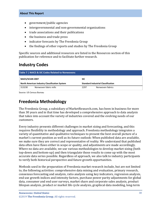#### **About This Report**

- government/public agencies
- intergovernmental and non-governmental organizations
- trade associations and their publications
- the business and trade press
- indicator forecasts by The Freedonia Group
- the findings of other reports and studies by The Freedonia Group

Specific sources and additional resources are listed in the Resources section of this publication for reference and to facilitate further research.

## <span id="page-4-0"></span>**Industry Codes**

<span id="page-4-2"></span>

| Table 7   NAICS & SIC Codes Related to Nonwovens |                                                                                            |            |                  |  |
|--------------------------------------------------|--------------------------------------------------------------------------------------------|------------|------------------|--|
| NAICS/SCIAN 2007                                 |                                                                                            | <b>SIC</b> |                  |  |
|                                                  | North American Industry Classification System<br><b>Standard Industrial Classification</b> |            |                  |  |
| 313230                                           | Nonwoven fabric mills                                                                      | 2297       | Nonwoven fabrics |  |

Source: US Census Bureau

## <span id="page-4-1"></span>**Freedonia Methodology**

The Freedonia Group, a subsidiary of MarketResearch.com, has been in business for more than 30 years and in that time has developed a comprehensive approach to data analysis that takes into account the variety of industries covered and the evolving needs of our customers.

Every industry presents different challenges in market sizing and forecasting, and this requires flexibility in methodology and approach. Freedonia methodology integrates a variety of quantitative and qualitative techniques to present the best overall picture of a market's current position as well as its future outlook: When published data are available, we make sure they are correct and representative of reality. We understand that published data often have flaws either in scope or quality, and adjustments are made accordingly. Where no data are available, we use various methodologies to develop market sizing (both top-down and bottom-up) and then triangulate those results to come up with the most accurate data series possible. Regardless of approach, we also talk to industry participants to verify both historical perspective and future growth opportunities.

Methods used in the preparation of Freedonia market research include, but are not limited to, the following activities: comprehensive data mining and evaluation, primary research, consensus forecasting and analysis, ratio analysis using key indicators, regression analysis, end use growth indices and intensity factors, purchase power parity adjustments for global data, consumer and end user surveys, market share and corporate sales analysis, product lifespan analysis, product or market life cycle analysis, graphical data modeling, long-term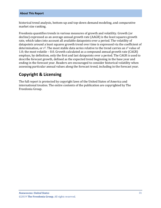historical trend analysis, bottom-up and top-down demand modeling, and comparative market size ranking.

Freedonia quantifies trends in various measures of growth and volatility. Growth (or decline) expressed as an average annual growth rate (AAGR) is the least squares growth rate, which takes into account all available datapoints over a period. The volatility of datapoints around a least squares growth trend over time is expressed via the coefficient of determination, or  $r^2$ . The most stable data series relative to the trend carries an  $r^2$  value of 1.0; the most volatile – 0.0. Growth calculated as a compound annual growth rate (CAGR) employs, by definition, only the first and last datapoints over a period. The CAGR is used to describe forecast growth, defined as the expected trend beginning in the base year and ending in the forecast year. Readers are encouraged to consider historical volatility when assessing particular annual values along the forecast trend, including in the forecast year.

# **Copyright & Licensing**

The full report is protected by copyright laws of the United States of America and international treaties. The entire contents of the publication are copyrighted by The Freedonia Group.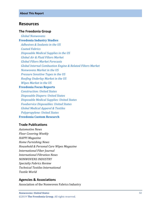### <span id="page-6-0"></span>**Resources**

#### **The Freedonia Group**

 *[Global Nonwovens](http://www.freedoniagroup.com/DocumentDetails.aspx?ReferrerId=FL-FOCUS&studyid=3693)* **[Freedonia Industry Studies](http://www.freedoniagroup.com/Home.aspx?ReferrerId=FL-Focus)**  *[Adhesives & Sealants in the US](http://www.freedoniagroup.com/DocumentDetails.aspx?ReferrerId=FL-FOCUS&studyid=3623) [Coated Fabrics](http://www.freedoniagroup.com/DocumentDetails.aspx?ReferrerId=FL-FOCUS&studyid=3412) [Disposable Medical Supplies in the US](http://www.freedoniagroup.com/DocumentDetails.aspx?ReferrerId=FL-FOCUS&studyid=3631) [Global Air & Fluid Filters Market](http://www.freedoniagroup.com/DocumentDetails.aspx?ReferrerId=FL-FOCUS&studyid=3443) [Global Filters Market Forecasts](http://www.freedoniagroup.com/DocumentDetails.aspx?ReferrerId=FL-FOCUS&studyid=3490) [Global Internal Combustion Engine & Related Filters Market](http://www.freedoniagroup.com/DocumentDetails.aspx?ReferrerId=FL-FOCUS&studyid=3481) [Nonwovens Market in the US](http://www.freedoniagroup.com/DocumentDetails.aspx?ReferrerId=FL-FOCUS&studyid=3554) [Pressure Sensitive Tapes in the US](http://www.freedoniagroup.com/DocumentDetails.aspx?ReferrerId=FL-FOCUS&studyid=3645) [Roofing Underlay Market in the US](http://www.freedoniagroup.com/DocumentDetails.aspx?ReferrerId=FL-FOCUS&studyid=3473) [Wipes Market in the US](http://www.freedoniagroup.com/DocumentDetails.aspx?ReferrerId=FL-FOCUS&studyid=3527)* **[Freedonia Focus Reports](https://www.freedoniafocusreports.com/redirect.asp?progid=89534&url=/)**

 *[Construction: United States](https://www.freedoniafocusreports.com/Construction-United-States-FF60054/?progid=89534) [Disposable Diapers: United States](https://www.freedoniafocusreports.com/Disposable-Diapers-United-States-FF15023/?progid=89534) [Disposable Medical Supplies: United States](https://www.freedoniafocusreports.com/Disposable-Medical-Supplies-United-States-FF40019/?progid=89534) [Foodservice Disposables: United States](https://www.freedoniafocusreports.com/Foodservice-Disposables-United-States-FF30029/?progid=89534) [Global Medical Apparel & Textiles](https://www.freedoniafocusreports.com/Global-Medical-Apparel-Textiles-FW40072/?progid=89534) [Polypropylene: United States](https://www.freedoniafocusreports.com/Polypropylene-United-States-FF55018/?progid=89534)* **[Freedonia Custom Research](http://www.freedoniagroup.com/CustomResearch.aspx?ReferrerId=FL-Focus)**

#### **Trade Publications**

*Automotive News Floor Covering Weekly HAPPI Magazine Home Furnishing News Household & Personal Care Wipes Magazine International Fiber Journal International Filtration News NONWOVENS INDUSTRY Specialty Fabrics Review Technical Textiles International Textile World*

#### **Agencies & Associations**

Association of the Nonwoven Fabrics Industry